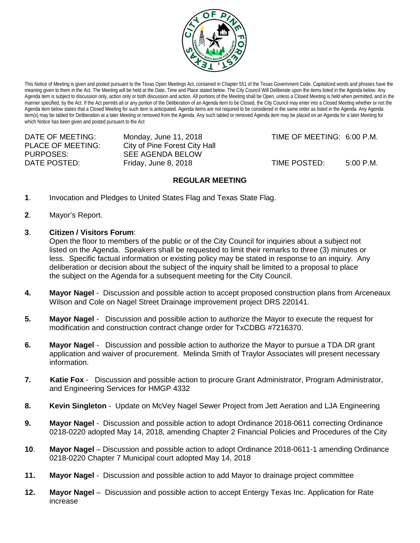

This Notice of Meeting is given and posted pursuant to the Texas Open Meetings Act, contained in Chapter 551 of the Texas Government Code. Capitalized words and phrases have the meaning given to them in the Act. The Meeting will be held at the Date, Time and Place stated below. The City Council Will Deliberate upon the items listed in the Agenda below. Any Agenda item is subject to discussion only, action only or both discussion and action. All portions of the Meeting shall be Open, unless a Closed Meeting is held when permitted, and in the manner specified, by the Act. If the Act permits all or any portion of the Deliberation of an Agenda item to be Closed, the City Council may enter into a Closed Meeting whether or not the Agenda item below states that a Closed Meeting for such item is anticipated. Agenda items are not required to be considered in the same order as listed in the Agenda. Any Agenda item(s) may be tabled for Deliberation at a later Meeting or removed from the Agenda. Any such tabled or removed Agenda item may be placed on an Agenda for a later Meeting for which Notice has been given and posted pursuant to the Act

PLACE OF MEETING: City of Pine Forest City Hall<br>PURPOSES: SEE AGENDA BELOW

SEE AGENDA BELOW

DATE OF MEETING: Monday, June 11, 2018 TIME OF MEETING: 6:00 P.M.

DATE POSTED: Friday, June 8, 2018 TIME POSTED: 5:00 P.M.

## **REGULAR MEETING**

- **1**. Invocation and Pledges to United States Flag and Texas State Flag.
- **2**. Mayor's Report.
- **3**. **Citizen / Visitors Forum**:

Open the floor to members of the public or of the City Council for inquiries about a subject not listed on the Agenda. Speakers shall be requested to limit their remarks to three (3) minutes or less. Specific factual information or existing policy may be stated in response to an inquiry. Any deliberation or decision about the subject of the inquiry shall be limited to a proposal to place the subject on the Agenda for a subsequent meeting for the City Council.

- **4. Mayor Nagel** Discussion and possible action to accept proposed construction plans from Arceneaux Wilson and Cole on Nagel Street Drainage improvement project DRS 220141.
- **5. Mayor Nagel** Discussion and possible action to authorize the Mayor to execute the request for modification and construction contract change order for TxCDBG #7216370.
- **6. Mayor Nagel** Discussion and possible action to authorize the Mayor to pursue a TDA DR grant application and waiver of procurement. Melinda Smith of Traylor Associates will present necessary information.
- **7. Katie Fox** Discussion and possible action to procure Grant Administrator, Program Administrator, and Engineering Services for HMGP 4332
- **8. Kevin Singleton** Update on McVey Nagel Sewer Project from Jett Aeration and LJA Engineering
- **9. Mayor Nagel** Discussion and possible action to adopt Ordinance 2018-0611 correcting Ordinance 0218-0220 adopted May 14, 2018, amending Chapter 2 Financial Policies and Procedures of the City
- **10**. **Mayor Nagel** Discussion and possible action to adopt Ordinance 2018-0611-1 amending Ordinance 0218-0220 Chapter 7 Municipal court adopted May 14, 2018
- **11. Mayor Nagel** Discussion and possible action to add Mayor to drainage project committee
- **12. Mayor Nagel**  Discussion and possible action to accept Entergy Texas Inc. Application for Rate increase